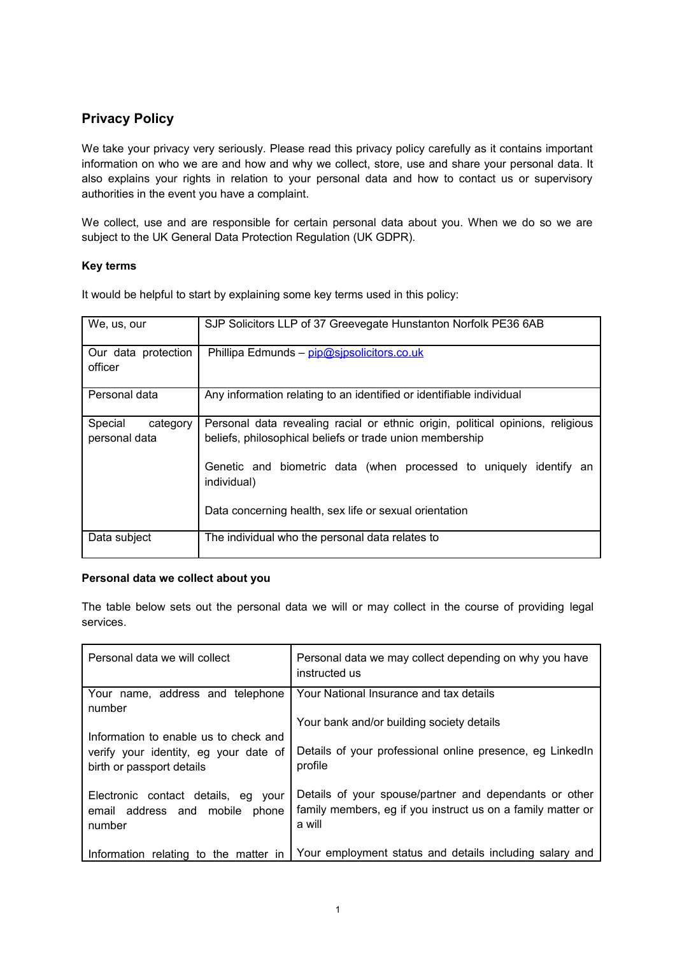# **Privacy Policy**

We take your privacy very seriously. Please read this privacy policy carefully as it contains important information on who we are and how and why we collect, store, use and share your personal data. It also explains your rights in relation to your personal data and how to contact us or supervisory authorities in the event you have a complaint.

We collect, use and are responsible for certain personal data about you. When we do so we are subject to the UK General Data Protection Regulation (UK GDPR).

### **Key terms**

It would be helpful to start by explaining some key terms used in this policy:

| We, us, our                    | SJP Solicitors LLP of 37 Greevegate Hunstanton Norfolk PE36 6AB                   |
|--------------------------------|-----------------------------------------------------------------------------------|
| Our data protection<br>officer | Phillipa Edmunds - pip@sipsolicitors.co.uk                                        |
| Personal data                  | Any information relating to an identified or identifiable individual              |
| Special<br>category            | Personal data revealing racial or ethnic origin, political opinions, religious    |
| personal data                  | beliefs, philosophical beliefs or trade union membership                          |
|                                | Genetic and biometric data (when processed to uniquely identify an<br>individual) |
|                                | Data concerning health, sex life or sexual orientation                            |
| Data subject                   | The individual who the personal data relates to                                   |

### **Personal data we collect about you**

The table below sets out the personal data we will or may collect in the course of providing legal services.

| Personal data we will collect                                                      | Personal data we may collect depending on why you have<br>instructed us                                                         |
|------------------------------------------------------------------------------------|---------------------------------------------------------------------------------------------------------------------------------|
| Your name, address and telephone<br>number                                         | Your National Insurance and tax details                                                                                         |
| Information to enable us to check and                                              | Your bank and/or building society details                                                                                       |
| verify your identity, eg your date of<br>birth or passport details                 | Details of your professional online presence, eg LinkedIn<br>profile                                                            |
| Electronic contact details, eg your<br>email address and mobile<br>phone<br>number | Details of your spouse/partner and dependants or other<br>family members, eg if you instruct us on a family matter or<br>a will |
| Information relating to the matter in                                              | Your employment status and details including salary and                                                                         |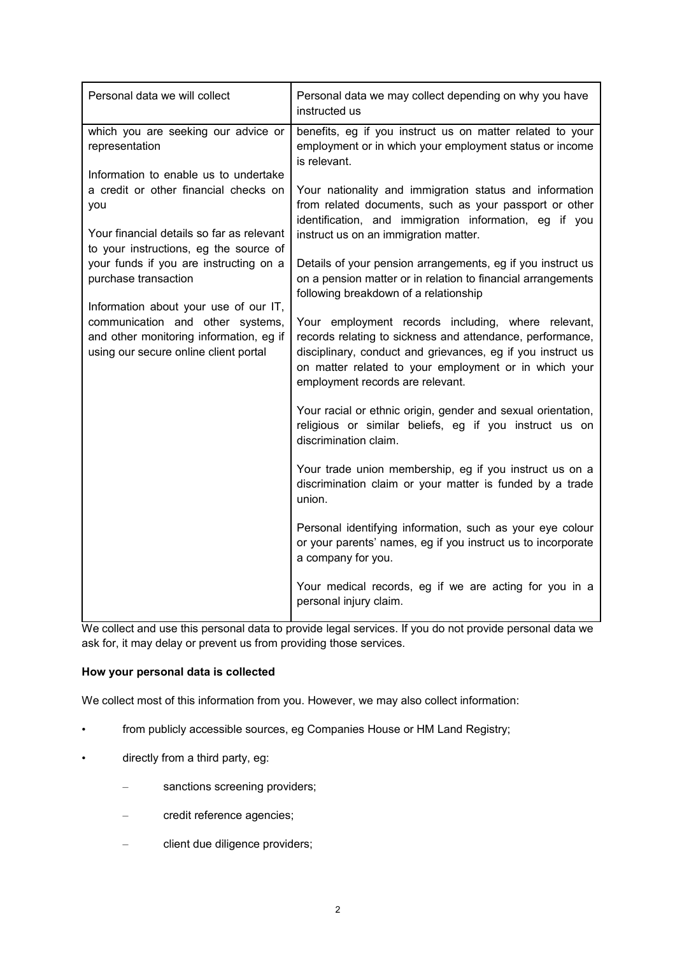| Personal data we will collect                                                                                                                                 | Personal data we may collect depending on why you have<br>instructed us                                                                                                                                                                                                     |
|---------------------------------------------------------------------------------------------------------------------------------------------------------------|-----------------------------------------------------------------------------------------------------------------------------------------------------------------------------------------------------------------------------------------------------------------------------|
| which you are seeking our advice or<br>representation<br>Information to enable us to undertake                                                                | benefits, eg if you instruct us on matter related to your<br>employment or in which your employment status or income<br>is relevant.                                                                                                                                        |
| a credit or other financial checks on<br>you                                                                                                                  | Your nationality and immigration status and information<br>from related documents, such as your passport or other<br>identification, and immigration information, eg if you                                                                                                 |
| Your financial details so far as relevant<br>to your instructions, eg the source of<br>your funds if you are instructing on a                                 | instruct us on an immigration matter.<br>Details of your pension arrangements, eg if you instruct us                                                                                                                                                                        |
| purchase transaction                                                                                                                                          | on a pension matter or in relation to financial arrangements<br>following breakdown of a relationship                                                                                                                                                                       |
| Information about your use of our IT,<br>communication and other systems,<br>and other monitoring information, eg if<br>using our secure online client portal | Your employment records including, where relevant,<br>records relating to sickness and attendance, performance,<br>disciplinary, conduct and grievances, eg if you instruct us<br>on matter related to your employment or in which your<br>employment records are relevant. |
|                                                                                                                                                               | Your racial or ethnic origin, gender and sexual orientation,<br>religious or similar beliefs, eg if you instruct us on<br>discrimination claim.                                                                                                                             |
|                                                                                                                                                               | Your trade union membership, eg if you instruct us on a<br>discrimination claim or your matter is funded by a trade<br>union.                                                                                                                                               |
|                                                                                                                                                               | Personal identifying information, such as your eye colour<br>or your parents' names, eg if you instruct us to incorporate<br>a company for you.                                                                                                                             |
|                                                                                                                                                               | Your medical records, eg if we are acting for you in a<br>personal injury claim.                                                                                                                                                                                            |

We collect and use this personal data to provide legal services. If you do not provide personal data we ask for, it may delay or prevent us from providing those services.

## **How your personal data is collected**

We collect most of this information from you. However, we may also collect information:

- from publicly accessible sources, eg Companies House or HM Land Registry;
- directly from a third party, eg:
	- sanctions screening providers;
	- credit reference agencies;
	- client due diligence providers;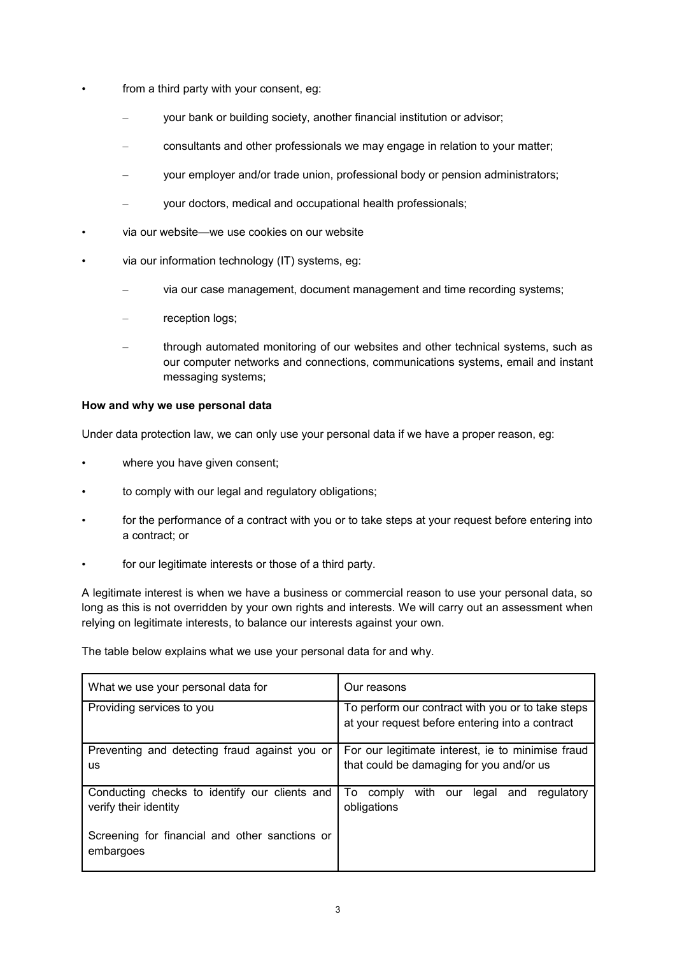- from a third party with your consent, eg:
	- your bank or building society, another financial institution or advisor;
	- consultants and other professionals we may engage in relation to your matter;
	- your employer and/or trade union, professional body or pension administrators;
	- your doctors, medical and occupational health professionals;
- via our website—we use cookies on our website
- via our information technology (IT) systems, eg:
	- via our case management, document management and time recording systems;
	- reception logs;
	- through automated monitoring of our websites and other technical systems, such as our computer networks and connections, communications systems, email and instant messaging systems;

### **How and why we use personal data**

Under data protection law, we can only use your personal data if we have a proper reason, eg:

- where you have given consent;
- to comply with our legal and regulatory obligations;
- for the performance of a contract with you or to take steps at your request before entering into a contract; or
- for our legitimate interests or those of a third party.

A legitimate interest is when we have a business or commercial reason to use your personal data, so long as this is not overridden by your own rights and interests. We will carry out an assessment when relying on legitimate interests, to balance our interests against your own.

The table below explains what we use your personal data for and why.

| What we use your personal data for                                     | Our reasons                                                                                          |  |  |
|------------------------------------------------------------------------|------------------------------------------------------------------------------------------------------|--|--|
| Providing services to you                                              | To perform our contract with you or to take steps<br>at your request before entering into a contract |  |  |
| Preventing and detecting fraud against you or                          | For our legitimate interest, ie to minimise fraud                                                    |  |  |
| <b>us</b>                                                              | that could be damaging for you and/or us                                                             |  |  |
| Conducting checks to identify our clients and<br>verify their identity | To comply<br>with our<br>regulatory<br>legal<br>and<br>obligations                                   |  |  |
| Screening for financial and other sanctions or<br>embargoes            |                                                                                                      |  |  |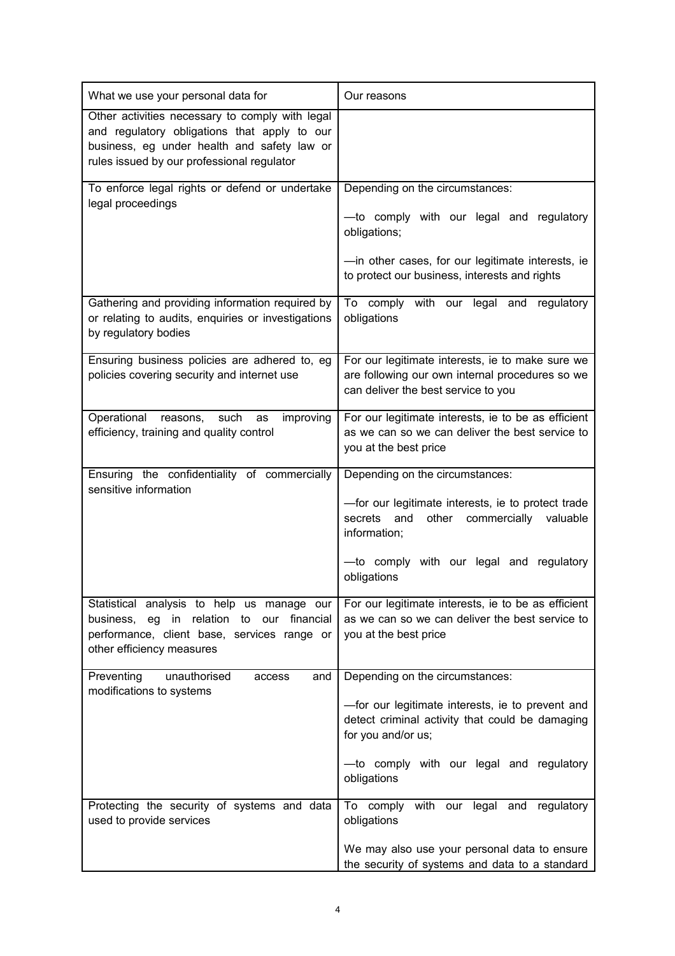| What we use your personal data for                                                                                                                                                           | Our reasons                                                                                                                                                                                                             |
|----------------------------------------------------------------------------------------------------------------------------------------------------------------------------------------------|-------------------------------------------------------------------------------------------------------------------------------------------------------------------------------------------------------------------------|
| Other activities necessary to comply with legal<br>and regulatory obligations that apply to our<br>business, eg under health and safety law or<br>rules issued by our professional regulator |                                                                                                                                                                                                                         |
| To enforce legal rights or defend or undertake<br>legal proceedings                                                                                                                          | Depending on the circumstances:<br>-to comply with our legal and regulatory<br>obligations;<br>-in other cases, for our legitimate interests, ie<br>to protect our business, interests and rights                       |
| Gathering and providing information required by<br>or relating to audits, enquiries or investigations<br>by regulatory bodies                                                                | To comply with our legal and regulatory<br>obligations                                                                                                                                                                  |
| Ensuring business policies are adhered to, eg<br>policies covering security and internet use                                                                                                 | For our legitimate interests, ie to make sure we<br>are following our own internal procedures so we<br>can deliver the best service to you                                                                              |
| Operational<br>such<br>improving<br>reasons,<br>as<br>efficiency, training and quality control                                                                                               | For our legitimate interests, ie to be as efficient<br>as we can so we can deliver the best service to<br>you at the best price                                                                                         |
| Ensuring the confidentiality of commercially<br>sensitive information                                                                                                                        | Depending on the circumstances:<br>-for our legitimate interests, ie to protect trade<br>other<br>secrets<br>and<br>commercially<br>valuable<br>information;<br>-to comply with our legal and regulatory<br>obligations |
| Statistical analysis to help us manage our<br>relation to our<br>financial<br>eg in<br>business.<br>performance, client base, services range or<br>other efficiency measures                 | For our legitimate interests, ie to be as efficient<br>as we can so we can deliver the best service to<br>you at the best price                                                                                         |
| Preventing<br>unauthorised<br>and<br>access<br>modifications to systems                                                                                                                      | Depending on the circumstances:<br>-for our legitimate interests, ie to prevent and<br>detect criminal activity that could be damaging<br>for you and/or us;<br>-to comply with our legal and regulatory<br>obligations |
| Protecting the security of systems and data<br>used to provide services                                                                                                                      | To comply<br>with our legal and regulatory<br>obligations<br>We may also use your personal data to ensure<br>the security of systems and data to a standard                                                             |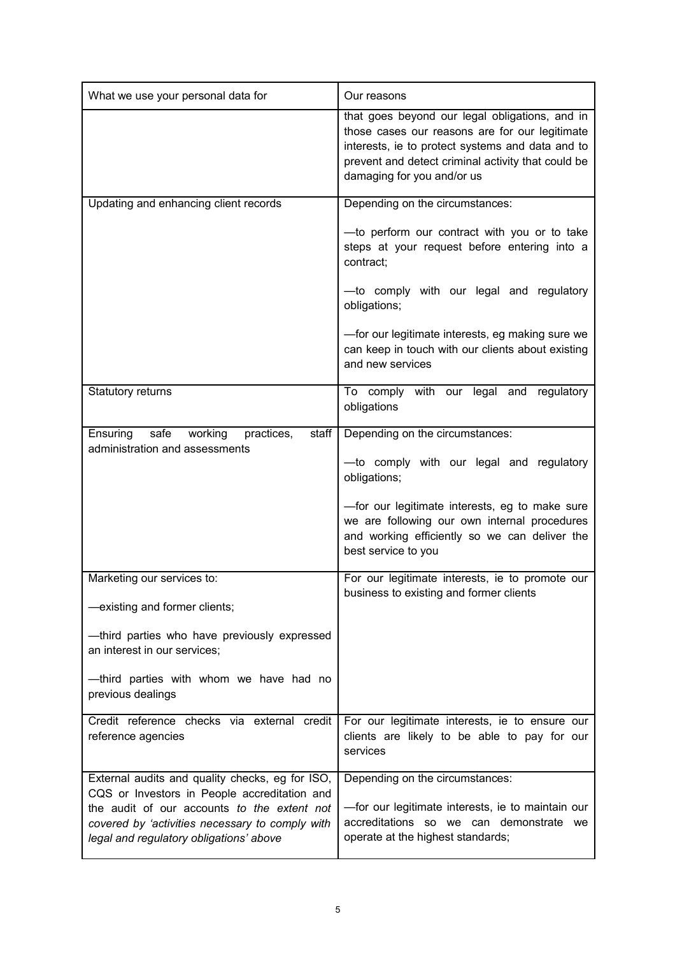| What we use your personal data for                                                                                                        | Our reasons                                                                                                                                                                                                                              |  |
|-------------------------------------------------------------------------------------------------------------------------------------------|------------------------------------------------------------------------------------------------------------------------------------------------------------------------------------------------------------------------------------------|--|
|                                                                                                                                           | that goes beyond our legal obligations, and in<br>those cases our reasons are for our legitimate<br>interests, ie to protect systems and data and to<br>prevent and detect criminal activity that could be<br>damaging for you and/or us |  |
| Updating and enhancing client records                                                                                                     | Depending on the circumstances:                                                                                                                                                                                                          |  |
|                                                                                                                                           | -to perform our contract with you or to take<br>steps at your request before entering into a<br>contract;                                                                                                                                |  |
|                                                                                                                                           | -to comply with our legal and regulatory<br>obligations;                                                                                                                                                                                 |  |
|                                                                                                                                           | -for our legitimate interests, eg making sure we<br>can keep in touch with our clients about existing<br>and new services                                                                                                                |  |
| Statutory returns                                                                                                                         | To comply with our legal and regulatory<br>obligations                                                                                                                                                                                   |  |
| Ensuring<br>safe<br>working<br>staff<br>practices,<br>administration and assessments                                                      | Depending on the circumstances:                                                                                                                                                                                                          |  |
|                                                                                                                                           | -to comply with our legal and regulatory<br>obligations;                                                                                                                                                                                 |  |
|                                                                                                                                           | -for our legitimate interests, eg to make sure<br>we are following our own internal procedures<br>and working efficiently so we can deliver the<br>best service to you                                                                   |  |
| Marketing our services to:<br>-existing and former clients;                                                                               | For our legitimate interests, ie to promote our<br>business to existing and former clients                                                                                                                                               |  |
| -third parties who have previously expressed<br>an interest in our services;                                                              |                                                                                                                                                                                                                                          |  |
| -third parties with whom we have had no<br>previous dealings                                                                              |                                                                                                                                                                                                                                          |  |
| Credit reference checks via external credit<br>reference agencies                                                                         | For our legitimate interests, ie to ensure our<br>clients are likely to be able to pay for our<br>services                                                                                                                               |  |
| External audits and quality checks, eg for ISO,<br>CQS or Investors in People accreditation and                                           | Depending on the circumstances:                                                                                                                                                                                                          |  |
| the audit of our accounts to the extent not<br>covered by 'activities necessary to comply with<br>legal and regulatory obligations' above | -for our legitimate interests, ie to maintain our<br>accreditations so we can demonstrate we<br>operate at the highest standards;                                                                                                        |  |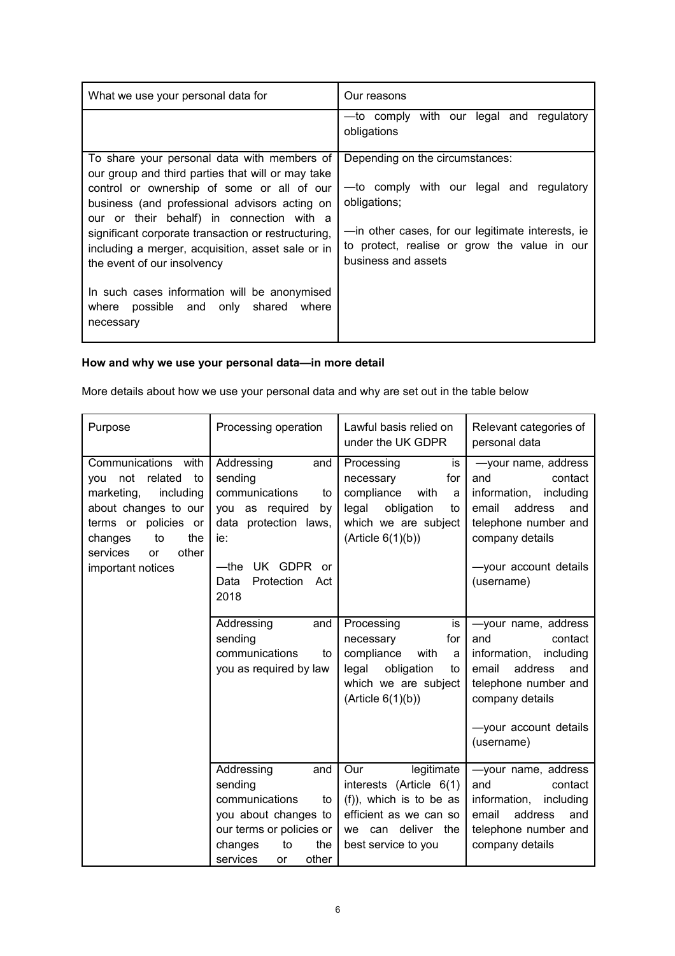| What we use your personal data for                                                                                                                                                   | Our reasons                                                                                                              |
|--------------------------------------------------------------------------------------------------------------------------------------------------------------------------------------|--------------------------------------------------------------------------------------------------------------------------|
|                                                                                                                                                                                      | -to comply with our legal and regulatory<br>obligations                                                                  |
| To share your personal data with members of<br>our group and third parties that will or may take                                                                                     | Depending on the circumstances:                                                                                          |
| control or ownership of some or all of our<br>business (and professional advisors acting on                                                                                          | -to comply with our legal and regulatory<br>obligations;                                                                 |
| our or their behalf) in connection with a<br>significant corporate transaction or restructuring,<br>including a merger, acquisition, asset sale or in<br>the event of our insolvency | -in other cases, for our legitimate interests, ie<br>to protect, realise or grow the value in our<br>business and assets |
| In such cases information will be anonymised<br>where possible and only shared<br>where<br>necessary                                                                                 |                                                                                                                          |

# **How and why we use your personal data—in more detail**

More details about how we use your personal data and why are set out in the table below

| Purpose                                                                                                                                                                                                   | Processing operation                                                                                                                                                     | Lawful basis relied on<br>under the UK GDPR                                                                                                    | Relevant categories of<br>personal data                                                                                                                                         |
|-----------------------------------------------------------------------------------------------------------------------------------------------------------------------------------------------------------|--------------------------------------------------------------------------------------------------------------------------------------------------------------------------|------------------------------------------------------------------------------------------------------------------------------------------------|---------------------------------------------------------------------------------------------------------------------------------------------------------------------------------|
| Communications with<br>you not<br>related<br>to<br>marketing,<br>including<br>about changes to our<br>terms or policies or<br>to<br>the<br>changes<br>services<br>other<br><b>or</b><br>important notices | Addressing<br>and<br>sending<br>communications<br>to<br>you as required<br>by<br>data protection laws,<br>ie:<br>—the<br>UK GDPR<br>or<br>Protection Act<br>Data<br>2018 | Processing<br>is<br>for<br>necessary<br>compliance<br>with<br>a<br>legal<br>obligation<br>to<br>which we are subject<br>(Article 6(1)(b))      | -your name, address<br>and<br>contact<br>information,<br>including<br>address<br>email<br>and<br>telephone number and<br>company details<br>-your account details<br>(username) |
|                                                                                                                                                                                                           | Addressing<br>and<br>sending<br>communications<br>to<br>you as required by law                                                                                           | Processing<br>is<br>for<br>necessary<br>compliance<br>with<br>a<br>legal<br>obligation<br>to<br>which we are subject<br>(Article 6(1)(b))      | -your name, address<br>and<br>contact<br>information,<br>including<br>email<br>address<br>and<br>telephone number and<br>company details<br>-your account details<br>(username) |
|                                                                                                                                                                                                           | Addressing<br>and<br>sending<br>communications<br>to<br>you about changes to<br>our terms or policies or<br>the<br>changes<br>to<br>services<br>other<br>or              | legitimate<br>Our<br>interests (Article 6(1)<br>(f)), which is to be as<br>efficient as we can so<br>we can deliver the<br>best service to you | -your name, address<br>and<br>contact<br>information,<br>including<br>address<br>email<br>and<br>telephone number and<br>company details                                        |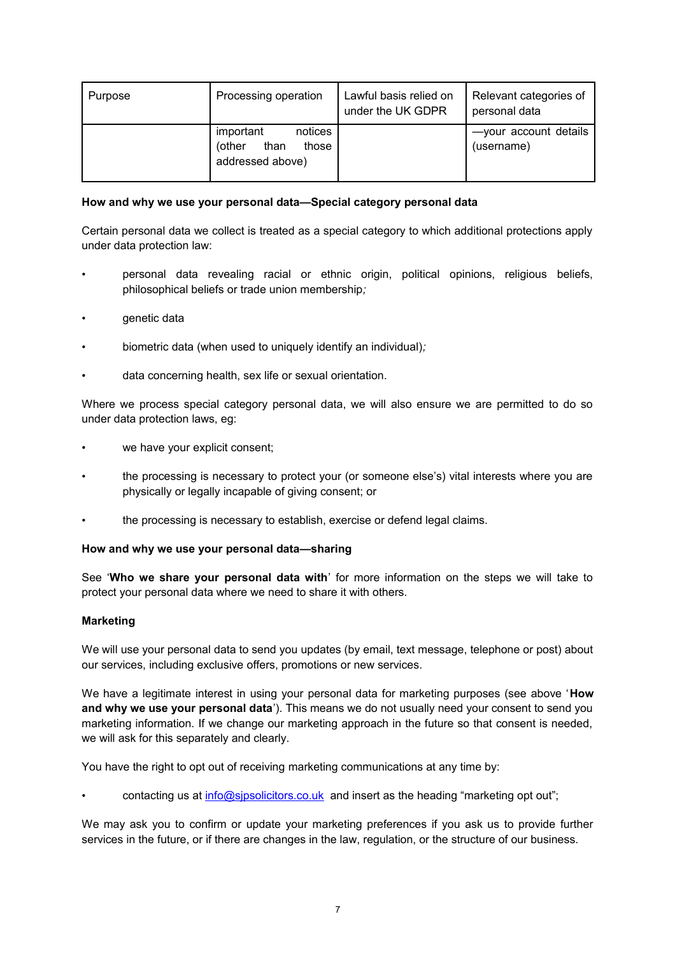| Purpose | Processing operation                                                | Lawful basis relied on<br>under the UK GDPR | Relevant categories of<br>personal data |
|---------|---------------------------------------------------------------------|---------------------------------------------|-----------------------------------------|
|         | notices<br>important<br>than<br>those<br>(other<br>addressed above) |                                             | -your account details<br>(username)     |

### **How and why we use your personal data—Special category personal data**

Certain personal data we collect is treated as a special category to which additional protections apply under data protection law:

- personal data revealing racial or ethnic origin, political opinions, religious beliefs, philosophical beliefs or trade union membership*;*
- genetic data
- biometric data (when used to uniquely identify an individual)*;*
- data concerning health, sex life or sexual orientation*.*

Where we process special category personal data, we will also ensure we are permitted to do so under data protection laws, eg:

- we have your explicit consent;
- the processing is necessary to protect your (or someone else's) vital interests where you are physically or legally incapable of giving consent; or
- the processing is necessary to establish, exercise or defend legal claims.

### **How and why we use your personal data—sharing**

See '**Who we share your personal data with**' for more information on the steps we will take to protect your personal data where we need to share it with others.

### **Marketing**

We will use your personal data to send you updates (by email, text message, telephone or post) about our services, including exclusive offers, promotions or new services.

We have a legitimate interest in using your personal data for marketing purposes (see above '**How and why we use your personal data**'). This means we do not usually need your consent to send you marketing information. If we change our marketing approach in the future so that consent is needed, we will ask for this separately and clearly.

You have the right to opt out of receiving marketing communications at any time by:

contacting us at [info@sjpsolicitors.co.uk](mailto:info@sjpsolicitors.co.uk) and insert as the heading "marketing opt out";

We may ask you to confirm or update your marketing preferences if you ask us to provide further services in the future, or if there are changes in the law, regulation, or the structure of our business.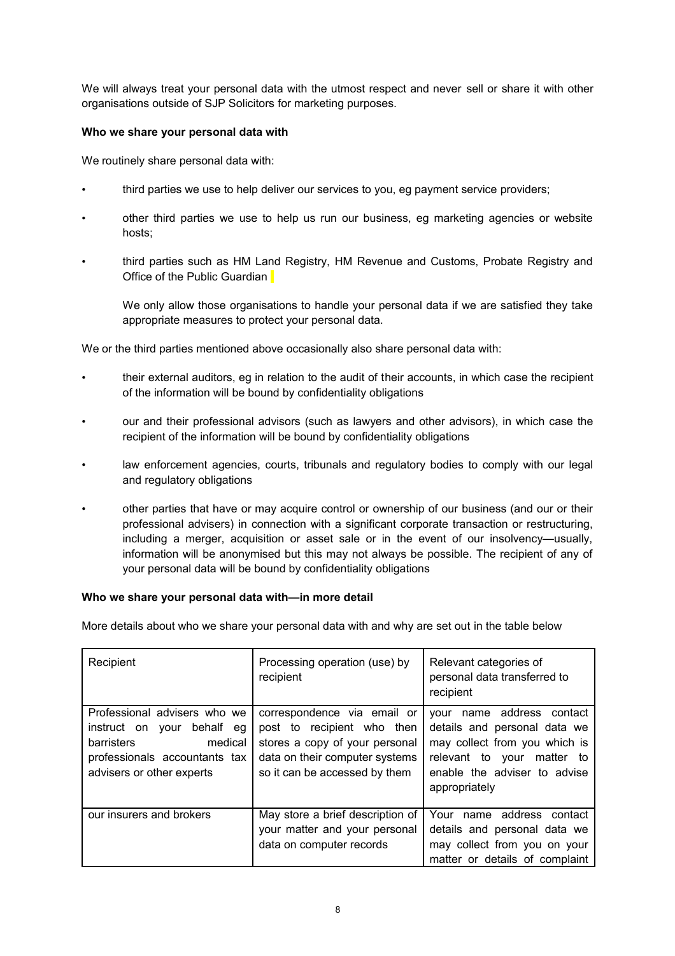We will always treat your personal data with the utmost respect and never sell or share it with other organisations outside of SJP Solicitors for marketing purposes.

### **Who we share your personal data with**

We routinely share personal data with:

- third parties we use to help deliver our services to you, eg payment service providers;
- other third parties we use to help us run our business, eg marketing agencies or website hosts;
- third parties such as HM Land Registry, HM Revenue and Customs, Probate Registry and Office of the Public Guardian

We only allow those organisations to handle your personal data if we are satisfied they take appropriate measures to protect your personal data.

We or the third parties mentioned above occasionally also share personal data with:

- their external auditors, eg in relation to the audit of their accounts, in which case the recipient of the information will be bound by confidentiality obligations
- our and their professional advisors (such as lawyers and other advisors), in which case the recipient of the information will be bound by confidentiality obligations
- law enforcement agencies, courts, tribunals and regulatory bodies to comply with our legal and regulatory obligations
- other parties that have or may acquire control or ownership of our business (and our or their professional advisers) in connection with a significant corporate transaction or restructuring, including a merger, acquisition or asset sale or in the event of our insolvency—usually, information will be anonymised but this may not always be possible. The recipient of any of your personal data will be bound by confidentiality obligations

#### **Who we share your personal data with—in more detail**

More details about who we share your personal data with and why are set out in the table below

| Recipient                                                                                                                                               | Processing operation (use) by<br>recipient                                                                                                                     | Relevant categories of<br>personal data transferred to<br>recipient                                                                                                          |
|---------------------------------------------------------------------------------------------------------------------------------------------------------|----------------------------------------------------------------------------------------------------------------------------------------------------------------|------------------------------------------------------------------------------------------------------------------------------------------------------------------------------|
| Professional advisers who we<br>behalf eg<br>instruct on<br>vour<br>barristers<br>medical<br>professionals accountants tax<br>advisers or other experts | correspondence via email or<br>post to recipient who then<br>stores a copy of your personal<br>data on their computer systems<br>so it can be accessed by them | name address contact<br>your<br>details and personal data we<br>may collect from you which is<br>relevant to your matter to<br>enable the adviser to advise<br>appropriately |
| our insurers and brokers                                                                                                                                | May store a brief description of<br>your matter and your personal<br>data on computer records                                                                  | name address contact<br>Your<br>details and personal data we<br>may collect from you on your<br>matter or details of complaint                                               |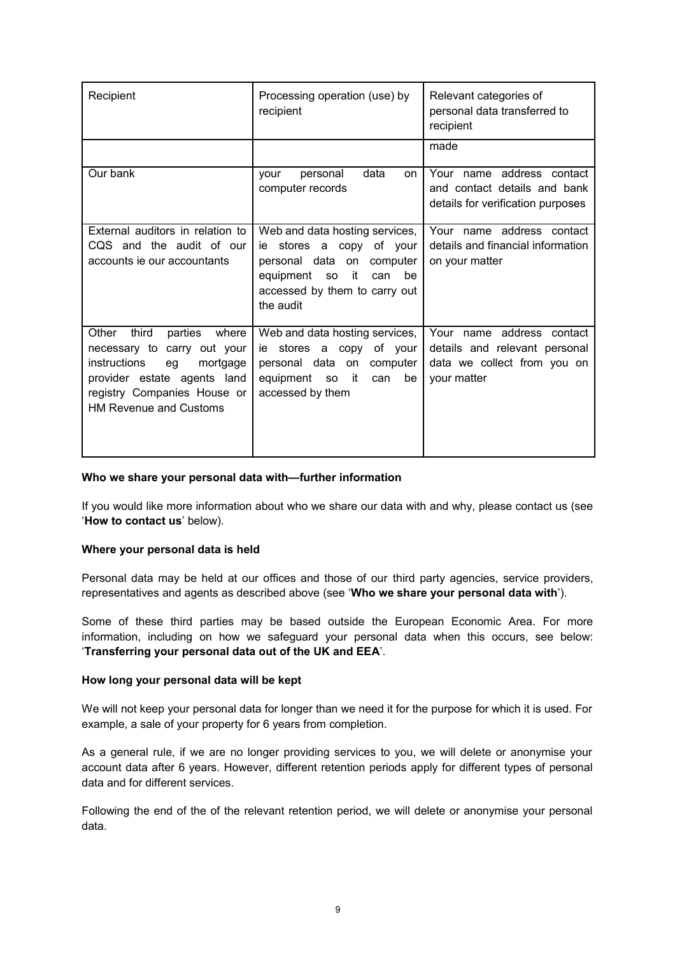| Recipient                                                                                                                                                                                          | Processing operation (use) by<br>recipient                                                                                                                                                 | Relevant categories of<br>personal data transferred to<br>recipient                                      |
|----------------------------------------------------------------------------------------------------------------------------------------------------------------------------------------------------|--------------------------------------------------------------------------------------------------------------------------------------------------------------------------------------------|----------------------------------------------------------------------------------------------------------|
|                                                                                                                                                                                                    |                                                                                                                                                                                            | made                                                                                                     |
| Our bank                                                                                                                                                                                           | data<br>personal<br>vour<br>on.<br>computer records                                                                                                                                        | Your name address contact<br>and contact details and bank<br>details for verification purposes           |
| External auditors in relation to<br>CQS and the audit of our<br>accounts ie our accountants                                                                                                        | Web and data hosting services,  <br>stores a copy of your<br>ie<br>personal data on<br>computer<br>it<br>equipment<br>be<br><b>SO</b><br>can<br>accessed by them to carry out<br>the audit | Your name address contact<br>details and financial information<br>on your matter                         |
| third<br>Other<br>parties<br>where<br>necessary to carry out your<br>instructions<br>mortgage<br>eg<br>provider estate agents land<br>registry Companies House or<br><b>HM Revenue and Customs</b> | Web and data hosting services,  <br>ie stores a copy of your<br>personal data on<br>computer  <br>equipment so<br>it it<br>be<br>can<br>accessed by them                                   | Your name address contact<br>details and relevant personal<br>data we collect from you on<br>your matter |

### **Who we share your personal data with—further information**

If you would like more information about who we share our data with and why, please contact us (see '**How to contact us**' below).

#### **Where your personal data is held**

Personal data may be held at our offices and those of our third party agencies, service providers, representatives and agents as described above (see '**Who we share your personal data with**').

Some of these third parties may be based outside the European Economic Area. For more information, including on how we safeguard your personal data when this occurs, see below: '**Transferring your personal data out of the UK and EEA**'.

### **How long your personal data will be kept**

We will not keep your personal data for longer than we need it for the purpose for which it is used. For example, a sale of your property for 6 years from completion.

As a general rule, if we are no longer providing services to you, we will delete or anonymise your account data after 6 years. However, different retention periods apply for different types of personal data and for different services.

Following the end of the of the relevant retention period, we will delete or anonymise your personal data.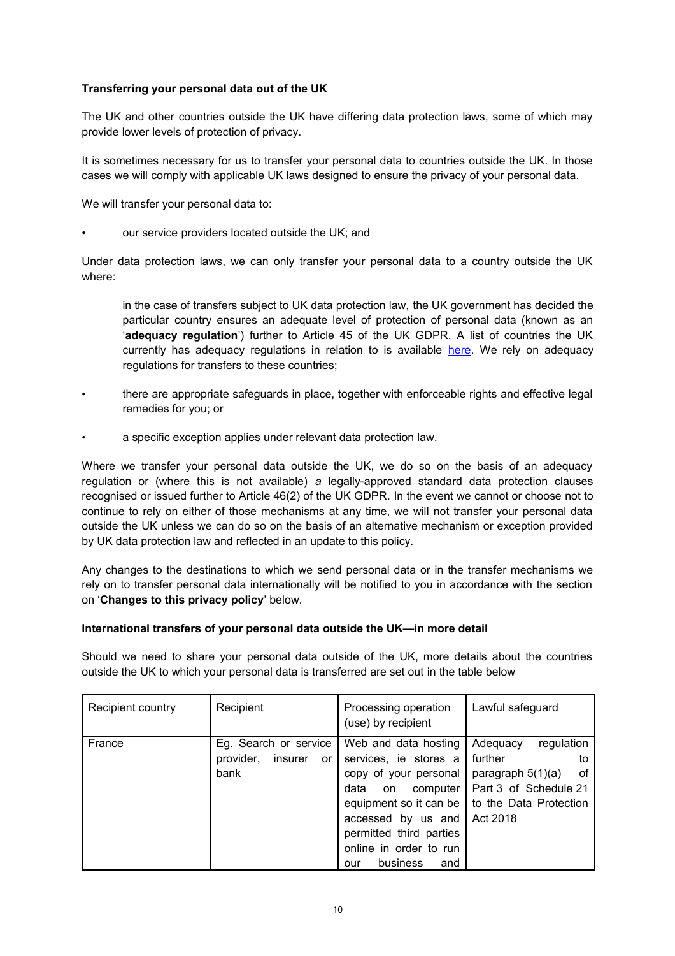### **Transferring your personal data out of the UK**

The UK and other countries outside the UK have differing data protection laws, some of which may provide lower levels of protection of privacy.

It is sometimes necessary for us to transfer your personal data to countries outside the UK. In those cases we will comply with applicable UK laws designed to ensure the privacy of your personal data.

We will transfer your personal data to:

our service providers located outside the UK; and

Under data protection laws, we can only transfer your personal data to a country outside the UK where:

in the case of transfers subject to UK data protection law, the UK government has decided the particular country ensures an adequate level of protection of personal data (known as an '**adequacy regulation**') further to Article 45 of the UK GDPR. A list of countries the UK currently has adequacy regulations in relation to is available here. We rely on adequacy regulations for transfers to these countries;

- there are appropriate safeguards in place, together with enforceable rights and effective legal remedies for you; or
- a specific exception applies under relevant data protection law.

Where we transfer your personal data outside the UK, we do so on the basis of an adequacy regulation or (where this is not available) *a* legally-approved standard data protection clauses recognised or issued further to Article 46(2) of the UK GDPR*.* In the event we cannot or choose not to continue to rely on either of those mechanisms at any time, we will not transfer your personal data outside the UK unless we can do so on the basis of an alternative mechanism or exception provided by UK data protection law and reflected in an update to this policy.

Any changes to the destinations to which we send personal data or in the transfer mechanisms we rely on to transfer personal data internationally will be notified to you in accordance with the section on '**Changes to this privacy policy**' below.

### **International transfers of your personal data outside the UK—in more detail**

Should we need to share your personal data outside of the UK, more details about the countries outside the UK to which your personal data is transferred are set out in the table below

| Recipient country | Recipient                                                   | Processing operation<br>(use) by recipient                                                                                                                                                                                      | Lawful safeguard                                                                                                                    |
|-------------------|-------------------------------------------------------------|---------------------------------------------------------------------------------------------------------------------------------------------------------------------------------------------------------------------------------|-------------------------------------------------------------------------------------------------------------------------------------|
| France            | Eg. Search or service<br>provider,<br>insurer<br>or<br>bank | Web and data hosting<br>services, ie stores a<br>copy of your personal<br>data<br>computer<br>on<br>equipment so it can be<br>accessed by us and<br>permitted third parties<br>online in order to run<br>business<br>and<br>our | regulation<br>Adequacy<br>further<br>to<br>paragraph $5(1)(a)$<br>οf<br>Part 3 of Schedule 21<br>to the Data Protection<br>Act 2018 |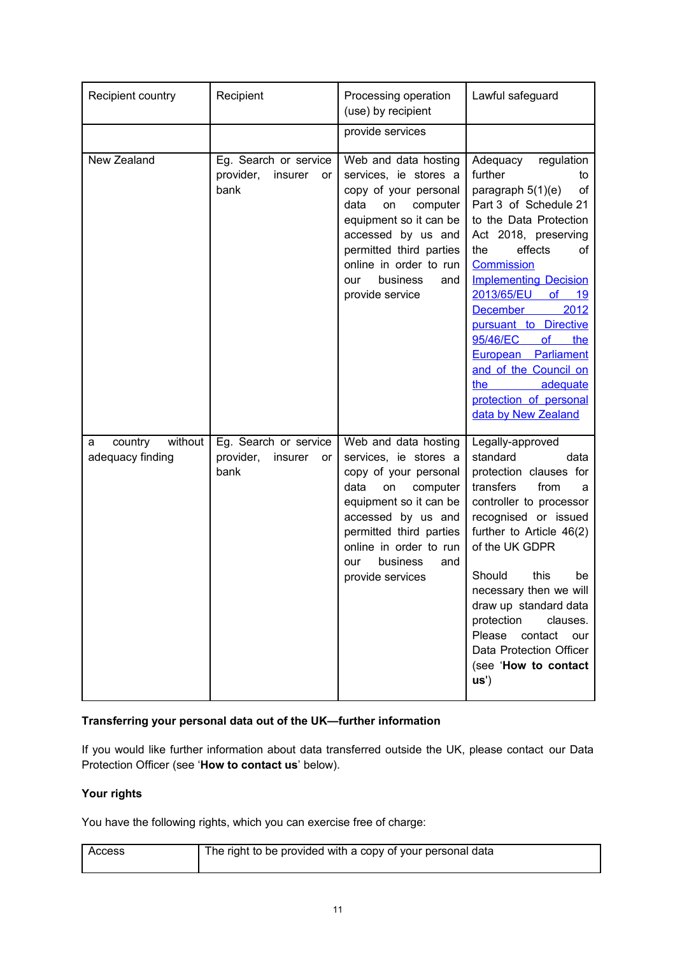| Recipient country                           | Recipient                                                   | Processing operation<br>(use) by recipient                                                                                                                                                                                                          | Lawful safeguard                                                                                                                                                                                                                                                                                                                                                                                                                                       |
|---------------------------------------------|-------------------------------------------------------------|-----------------------------------------------------------------------------------------------------------------------------------------------------------------------------------------------------------------------------------------------------|--------------------------------------------------------------------------------------------------------------------------------------------------------------------------------------------------------------------------------------------------------------------------------------------------------------------------------------------------------------------------------------------------------------------------------------------------------|
|                                             |                                                             | provide services                                                                                                                                                                                                                                    |                                                                                                                                                                                                                                                                                                                                                                                                                                                        |
| New Zealand                                 | Eg. Search or service<br>provider,<br>insurer<br>or<br>bank | Web and data hosting<br>services, ie stores a<br>copy of your personal<br>data<br>on<br>computer<br>equipment so it can be<br>accessed by us and<br>permitted third parties<br>online in order to run<br>business<br>and<br>our<br>provide service  | Adequacy<br>regulation<br>further<br>to<br>paragraph $5(1)(e)$<br>оf<br>Part 3 of Schedule 21<br>to the Data Protection<br>Act 2018, preserving<br>effects<br>the<br>of<br><b>Commission</b><br><b>Implementing Decision</b><br>2013/65/EU<br>$of$ 19<br>2012<br><b>December</b><br>pursuant to Directive<br>95/46/EC<br>of<br>the<br>European Parliament<br>and of the Council on<br>adequate<br>the<br>protection of personal<br>data by New Zealand |
| without<br>country<br>а<br>adequacy finding | Eg. Search or service<br>provider,<br>insurer<br>or<br>bank | Web and data hosting<br>services, ie stores a<br>copy of your personal<br>data<br>on<br>computer<br>equipment so it can be<br>accessed by us and<br>permitted third parties<br>online in order to run<br>business<br>our<br>and<br>provide services | Legally-approved<br>standard<br>data<br>protection clauses for<br>transfers<br>from<br>a<br>controller to processor<br>recognised or issued<br>further to Article 46(2)<br>of the UK GDPR<br>Should<br>this<br>be<br>necessary then we will<br>draw up standard data<br>protection<br>clauses.<br>Please<br>contact<br>our<br>Data Protection Officer<br>(see 'How to contact<br>US <sup>'</sup>                                                       |

## **Transferring your personal data out of the UK—further information**

If you would like further information about data transferred outside the UK, please contact our Data Protection Officer (see '**How to contact us**' below).

### **Your rights**

You have the following rights, which you can exercise free of charge:

| Access | The right to be provided with a copy of your personal data |
|--------|------------------------------------------------------------|
|        |                                                            |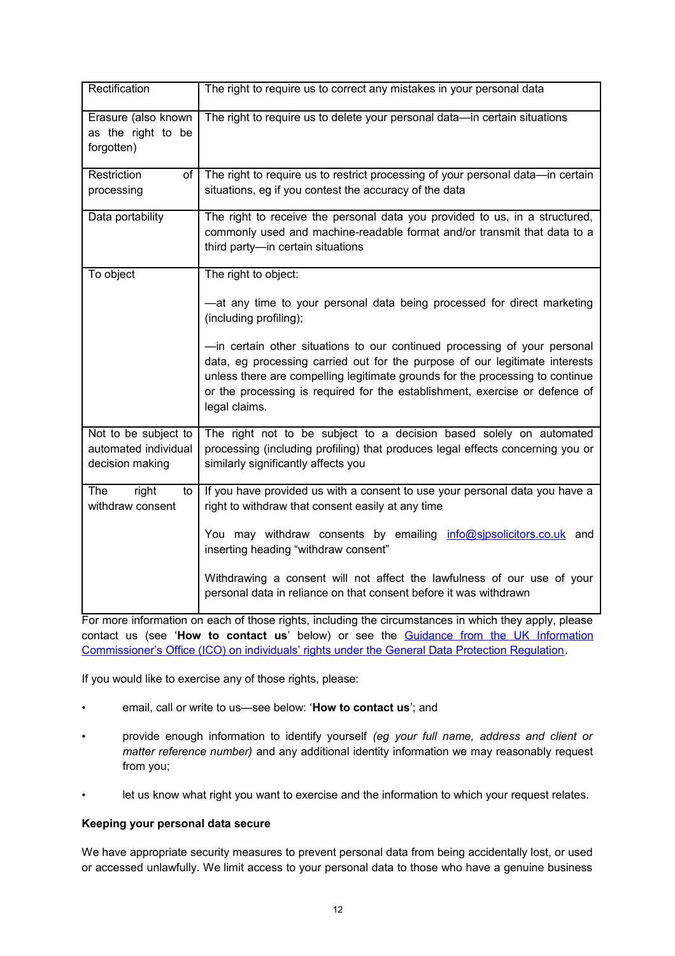| Rectification                                                   | The right to require us to correct any mistakes in your personal data                                                                                                                                                                                                                                                                     |
|-----------------------------------------------------------------|-------------------------------------------------------------------------------------------------------------------------------------------------------------------------------------------------------------------------------------------------------------------------------------------------------------------------------------------|
| Erasure (also known<br>as the right to be<br>forgotten)         | The right to require us to delete your personal data-in certain situations                                                                                                                                                                                                                                                                |
| <b>Restriction</b><br>of <sub>l</sub><br>processing             | The right to require us to restrict processing of your personal data-in certain<br>situations, eg if you contest the accuracy of the data                                                                                                                                                                                                 |
| Data portability                                                | The right to receive the personal data you provided to us, in a structured,<br>commonly used and machine-readable format and/or transmit that data to a<br>third party-in certain situations                                                                                                                                              |
| To object                                                       | The right to object:                                                                                                                                                                                                                                                                                                                      |
|                                                                 | -at any time to your personal data being processed for direct marketing<br>(including profiling);                                                                                                                                                                                                                                         |
|                                                                 | -in certain other situations to our continued processing of your personal<br>data, eg processing carried out for the purpose of our legitimate interests<br>unless there are compelling legitimate grounds for the processing to continue<br>or the processing is required for the establishment, exercise or defence of<br>legal claims. |
| Not to be subject to<br>automated individual<br>decision making | The right not to be subject to a decision based solely on automated<br>processing (including profiling) that produces legal effects concerning you or<br>similarly significantly affects you                                                                                                                                              |
| right<br>The<br>to<br>withdraw consent                          | If you have provided us with a consent to use your personal data you have a<br>right to withdraw that consent easily at any time                                                                                                                                                                                                          |
|                                                                 | You may withdraw consents by emailing info@sipsolicitors.co.uk and<br>inserting heading "withdraw consent"                                                                                                                                                                                                                                |
|                                                                 | Withdrawing a consent will not affect the lawfulness of our use of your<br>personal data in reliance on that consent before it was withdrawn                                                                                                                                                                                              |

For more information on each of those rights, including the circumstances in which they apply, please contact us (see '**How to contact us**' below) or see the Guidance from the UK Information Commissioner's Office (ICO) on individuals' rights under the General Data Protection Regulation.

If you would like to exercise any of those rights, please:

- email, call or write to us—see below: '**How to contact us**'; and
- provide enough information to identify yourself *(eg your full name, address and client or matter reference number)* and any additional identity information we may reasonably request from you;
- let us know what right you want to exercise and the information to which your request relates.

### **Keeping your personal data secure**

We have appropriate security measures to prevent personal data from being accidentally lost, or used or accessed unlawfully. We limit access to your personal data to those who have a genuine business